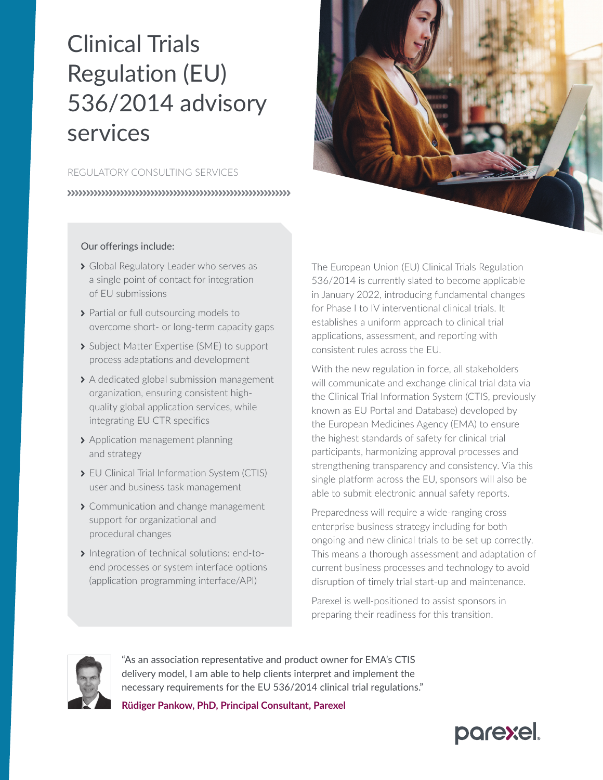# Clinical Trials Regulation (EU) 536/2014 advisory services

## REGULATORY CONSULTING SERVICES

## Our offerings include:

- Sidobal Regulatory Leader who serves as a single point of contact for integration of EU submissions
- > Partial or full outsourcing models to overcome short- or long-term capacity gaps
- Subject Matter Expertise (SME) to support process adaptations and development
- > A dedicated global submission management organization, ensuring consistent highquality global application services, while integrating EU CTR specifics
- > Application management planning and strategy
- **> FU Clinical Trial Information System (CTIS)** user and business task management
- S Communication and change management support for organizational and procedural changes
- Integration of technical solutions: end-toend processes or system interface options (application programming interface/API)

The European Union (EU) Clinical Trials Regulation 536/2014 is currently slated to become applicable in January 2022, introducing fundamental changes for Phase I to IV interventional clinical trials. It establishes a uniform approach to clinical trial applications, assessment, and reporting with consistent rules across the EU.

With the new regulation in force, all stakeholders will communicate and exchange clinical trial data via the Clinical Trial Information System (CTIS, previously known as EU Portal and Database) developed by the European Medicines Agency (EMA) to ensure the highest standards of safety for clinical trial participants, harmonizing approval processes and strengthening transparency and consistency. Via this single platform across the EU, sponsors will also be able to submit electronic annual safety reports.

Preparedness will require a wide-ranging cross enterprise business strategy including for both ongoing and new clinical trials to be set up correctly. This means a thorough assessment and adaptation of current business processes and technology to avoid disruption of timely trial start-up and maintenance.

Parexel is well-positioned to assist sponsors in preparing their readiness for this transition.



"As an association representative and product owner for EMA's CTIS delivery model, I am able to help clients interpret and implement the necessary requirements for the EU 536/2014 clinical trial regulations."

**Rüdiger Pankow, PhD, Principal Consultant, Parexel**